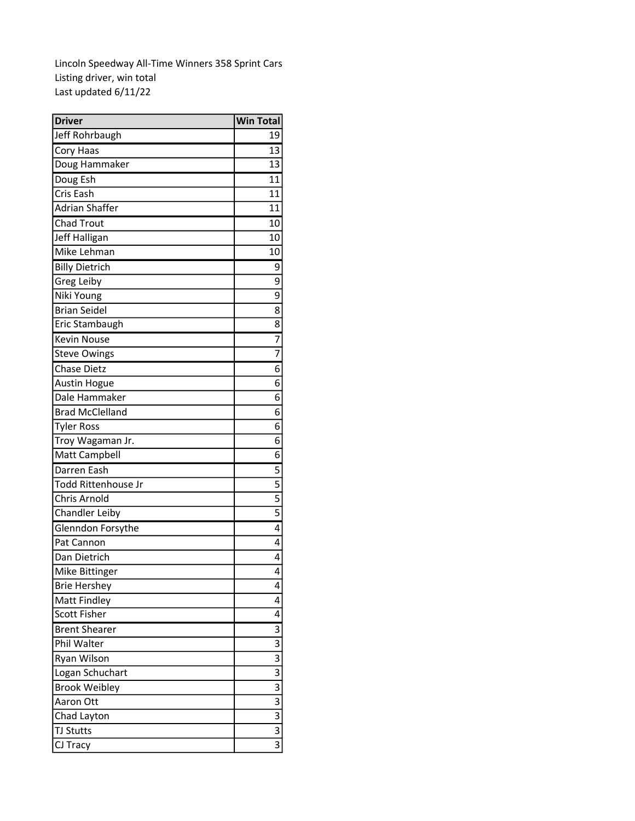Lincoln Speedway All-Time Winners 358 Sprint Cars Listing driver, win total Last updated 6/11/22

| <b>Driver</b>          | <b>Win Total</b> |
|------------------------|------------------|
| Jeff Rohrbaugh         | 19               |
| Cory Haas              | 13               |
| Doug Hammaker          | 13               |
| Doug Esh               | 11               |
| Cris Eash              | 11               |
| Adrian Shaffer         | 11               |
| <b>Chad Trout</b>      | 10 <sup>1</sup>  |
| Jeff Halligan          | 10               |
| Mike Lehman            | 10               |
| <b>Billy Dietrich</b>  | 9                |
| Greg Leiby             | 9                |
| Niki Young             | 9                |
| <b>Brian Seidel</b>    | 8                |
| Eric Stambaugh         | 8                |
| <b>Kevin Nouse</b>     | 7                |
| <b>Steve Owings</b>    | 7                |
| <b>Chase Dietz</b>     | 6                |
| <b>Austin Hogue</b>    | 6                |
| Dale Hammaker          | 6                |
| <b>Brad McClelland</b> | 6                |
| <b>Tyler Ross</b>      | 6                |
| Troy Wagaman Jr.       | 6                |
| Matt Campbell          | 6                |
| Darren Eash            | 5                |
| Todd Rittenhouse Jr    | 5                |
| Chris Arnold           | 5                |
| <b>Chandler Leiby</b>  | $\overline{5}$   |
| Glenndon Forsythe      | 4                |
| Pat Cannon             | 4                |
| Dan Dietrich           | 4                |
| Mike Bittinger         | 4                |
| <b>Brie Hershey</b>    | 4                |
| Matt Findley           | 4                |
| <b>Scott Fisher</b>    | 4                |
| <b>Brent Shearer</b>   | 3                |
| Phil Walter            | 3                |
| Ryan Wilson            | 3                |
| Logan Schuchart        | 3                |
| <b>Brook Weibley</b>   | 3                |
| Aaron Ott              | 3                |
| Chad Layton            | 3                |
| <b>TJ Stutts</b>       | 3                |
| CJ Tracy               | 3                |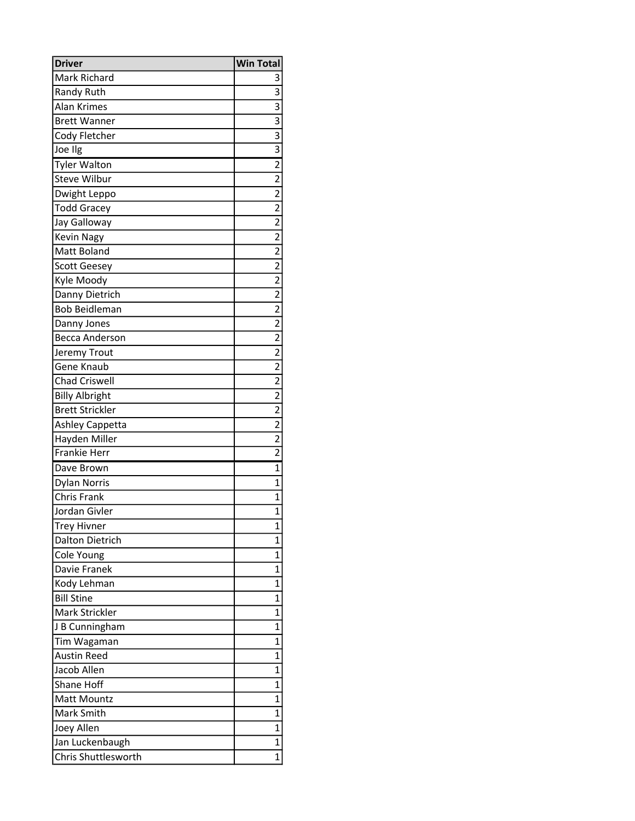| <b>Driver</b>          | <b>Win Total</b> |
|------------------------|------------------|
| Mark Richard           |                  |
| <b>Randy Ruth</b>      | $\overline{3}$   |
| <b>Alan Krimes</b>     | $\overline{3}$   |
| <b>Brett Wanner</b>    | $\overline{3}$   |
| Cody Fletcher          | $\overline{3}$   |
| Joe Ilg                | $\overline{3}$   |
| <b>Tyler Walton</b>    | $\overline{2}$   |
| Steve Wilbur           | $\overline{2}$   |
| Dwight Leppo           | $\overline{2}$   |
| <b>Todd Gracey</b>     | $\overline{2}$   |
| Jay Galloway           | $\overline{2}$   |
| <b>Kevin Nagy</b>      | $\overline{2}$   |
| Matt Boland            | $\overline{2}$   |
| <b>Scott Geesey</b>    | $\overline{2}$   |
| Kyle Moody             | $\overline{2}$   |
| Danny Dietrich         | $\overline{2}$   |
| <b>Bob Beidleman</b>   | $\overline{2}$   |
| Danny Jones            | $\overline{2}$   |
| <b>Becca Anderson</b>  | $\overline{2}$   |
| Jeremy Trout           | $\overline{2}$   |
| Gene Knaub             | $\overline{2}$   |
| <b>Chad Criswell</b>   | $\overline{2}$   |
| <b>Billy Albright</b>  | $\overline{2}$   |
| <b>Brett Strickler</b> | $\overline{2}$   |
| Ashley Cappetta        | $\overline{2}$   |
| Hayden Miller          | $\overline{2}$   |
| <b>Frankie Herr</b>    | $\overline{2}$   |
| Dave Brown             | $\overline{1}$   |
| <b>Dylan Norris</b>    | $\overline{1}$   |
| <b>Chris Frank</b>     | $\overline{1}$   |
| Jordan Givler          | $\overline{1}$   |
| <b>Trey Hivner</b>     | 1                |
| Dalton Dietrich        | 1                |
| Cole Young             | 1                |
| Davie Franek           | $\overline{1}$   |
| Kody Lehman            | $\mathbf{1}$     |
| <b>Bill Stine</b>      | $\mathbf{1}$     |
| Mark Strickler         | $\overline{1}$   |
| J B Cunningham         | $\mathbf{1}$     |
| Tim Wagaman            | $\overline{1}$   |
| <b>Austin Reed</b>     | $\overline{1}$   |
| Jacob Allen            | $\mathbf{1}$     |
| <b>Shane Hoff</b>      | $\mathbf{1}$     |
| Matt Mountz            | $\mathbf{1}$     |
| Mark Smith             | $\mathbf{1}$     |
| Joey Allen             | $\mathbf{1}$     |
| Jan Luckenbaugh        | $\mathbf 1$      |
| Chris Shuttlesworth    | $\mathbf{1}$     |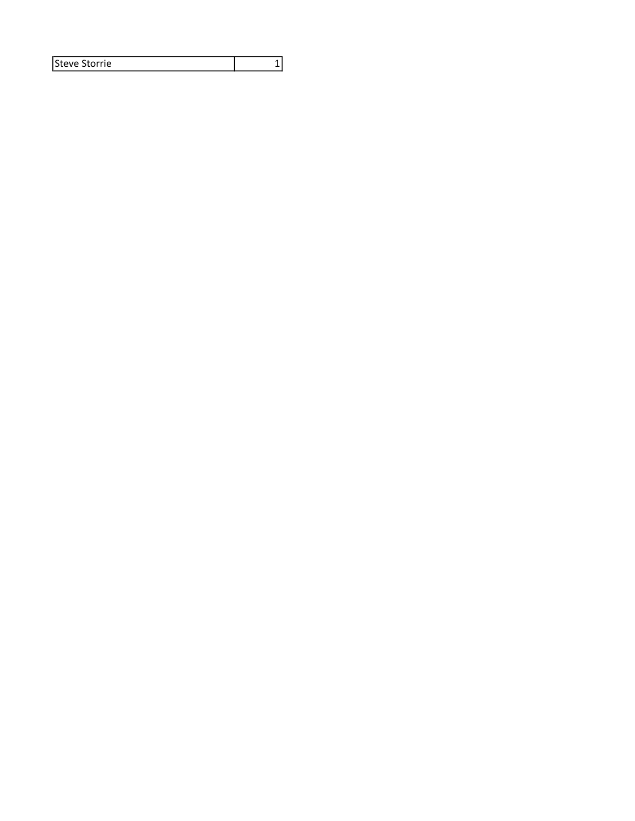| lSteve Storrie |  |
|----------------|--|
|----------------|--|